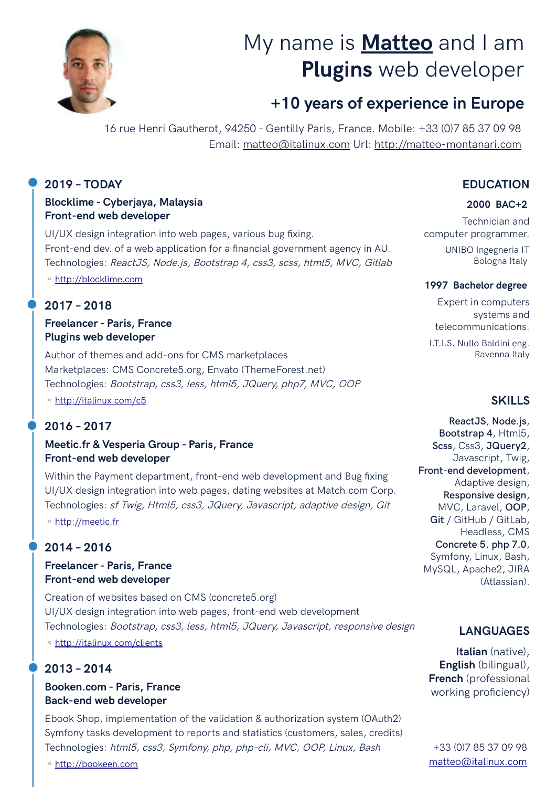

# My name is **Matteo** and I am **Plugins** web developer

# **+10 years of experience in Europe**

16 rue Henri Gautherot, 94250 - Gentilly Paris, France. Mobile: +33 (0)7 85 37 09 98 Email: matteo@italinux.com Url: [http://matteo-montanari.com](http://matteo-montanari.com/)

#### **2019 – TODAY**

#### **Blocklime - Cyberjaya, Malaysia Front-end web developer**

UI/UX design integration into web pages, various bug fxing. Front-end dev. of a web application for a fnancial government agency in AU. Technologies: ReactJS, Node.js, Bootstrap 4, css3, scss, html5, MVC, Gitlab

◦ [http:// blocklime.com](http://blocklime.com/)

# **2017 – 2018**

#### **Freelancer - Paris, France Plugins web developer**

Author of themes and add-ons for CMS marketplaces Marketplaces: CMS Concrete5.org, Envato (ThemeForest.net) Technologies: Bootstrap, css3, less, html5, JQuery, php7, MVC, OOP

◦ [http://italinux.com/ c5](http://italinux.com/c5)

# **2016 – 2017**

#### **Meetic.fr & Vesperia Group - Paris, France Front-end web developer**

Within the Payment department, front-end web development and Bug fxing UI/UX design integration into web pages, dating websites at Match.com Corp. Technologies: sf Twig, Html5, css3, JQuery, Javascript, adaptive design, Git

◦ [http:// meetic.fr](http://meetic.fr/)

# **2014 – 2016**

#### **Freelancer - Paris, France Front-end web developer**

Creation of websites based on CMS (concrete5.org) UI/UX design integration into web pages, front-end web development Technologies: Bootstrap, css3, less, html5, JQuery, Javascript, responsive design

◦ [http:// italinux.com/clients](http://italinux.com/clients)

# **2013 – 2014**

#### **Booken.com - Paris, France Back-end web developer**

Ebook Shop, implementation of the validation & authorization system (OAuth2) Symfony tasks development to reports and statistics (customers, sales, credits) Technologies: html5, css3, Symfony, php, php-cli, MVC, OOP, Linux, Bash

**EDUCATION**

#### **2000 BAC+2**

Technician and computer programmer.

UNIBO Ingegneria IT Bologna Italy

#### **1997 Bachelor degree**

Expert in computers systems and telecommunications.

I.T.I.S. Nullo Baldini eng. Ravenna Italy

#### **SKILLS**

**ReactJS**, **Node.js**, **Bootstrap 4**, Html5, **Scss**, Css3, **JQuery2**, Javascript, Twig, **Front-end development**, Adaptive design, **Responsive design**, MVC, Laravel, **OOP**, **Git** / GitHub / GitLab, Headless, CMS **Concrete 5**, **php 7.0**, Symfony, Linux, Bash, MySQL, Apache2, JIRA (Atlassian).

# **LANGUAGES**

**Italian** (native), **English** (bilingual), **French** (professional working proficiency)

◦ [http:// bookeen.com](http://bookeen.com/)